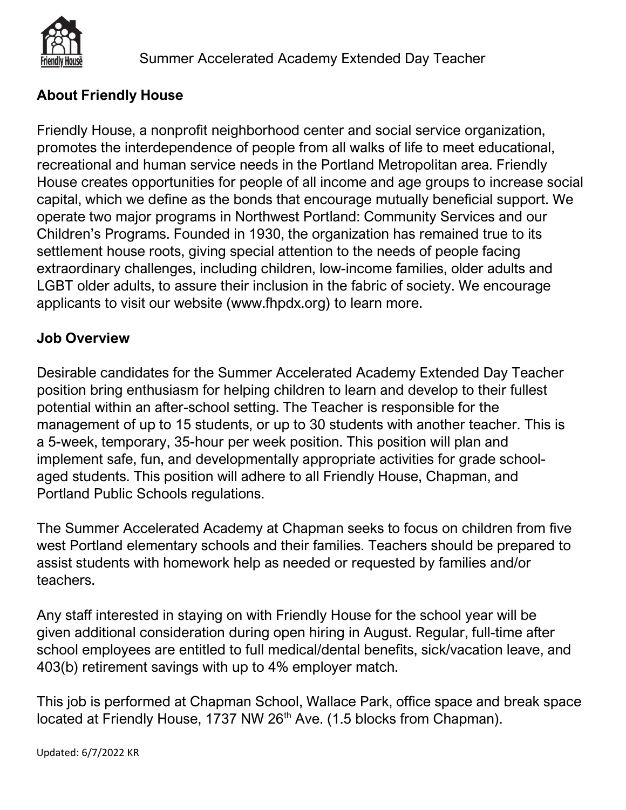

# About Friendly House

Friendly House, a nonprofit neighborhood center and social service organization, promotes the interdependence of people from all walks of life to meet educational, recreational and human service needs in the Portland Metropolitan area. Friendly House creates opportunities for people of all income and age groups to increase social capital, which we define as the bonds that encourage mutually beneficial support. We operate two major programs in Northwest Portland: Community Services and our Children's Programs. Founded in 1930, the organization has remained true to its settlement house roots, giving special attention to the needs of people facing extraordinary challenges, including children, low-income families, older adults and LGBT older adults, to assure their inclusion in the fabric of society. We encourage applicants to visit our website (www.fhpdx.org) to learn more.

## Job Overview

Desirable candidates for the Summer Accelerated Academy Extended Day Teacher position bring enthusiasm for helping children to learn and develop to their fullest potential within an after-school setting. The Teacher is responsible for the management of up to 15 students, or up to 30 students with another teacher. This is a 5-week, temporary, 35-hour per week position. This position will plan and implement safe, fun, and developmentally appropriate activities for grade schoolaged students. This position will adhere to all Friendly House, Chapman, and Portland Public Schools regulations.

The Summer Accelerated Academy at Chapman seeks to focus on children from five west Portland elementary schools and their families. Teachers should be prepared to assist students with homework help as needed or requested by families and/or teachers.

Any staff interested in staying on with Friendly House for the school year will be given additional consideration during open hiring in August. Regular, full-time after school employees are entitled to full medical/dental benefits, sick/vacation leave, and 403(b) retirement savings with up to 4% employer match.

This job is performed at Chapman School, Wallace Park, office space and break space located at Friendly House, 1737 NW 26<sup>th</sup> Ave. (1.5 blocks from Chapman).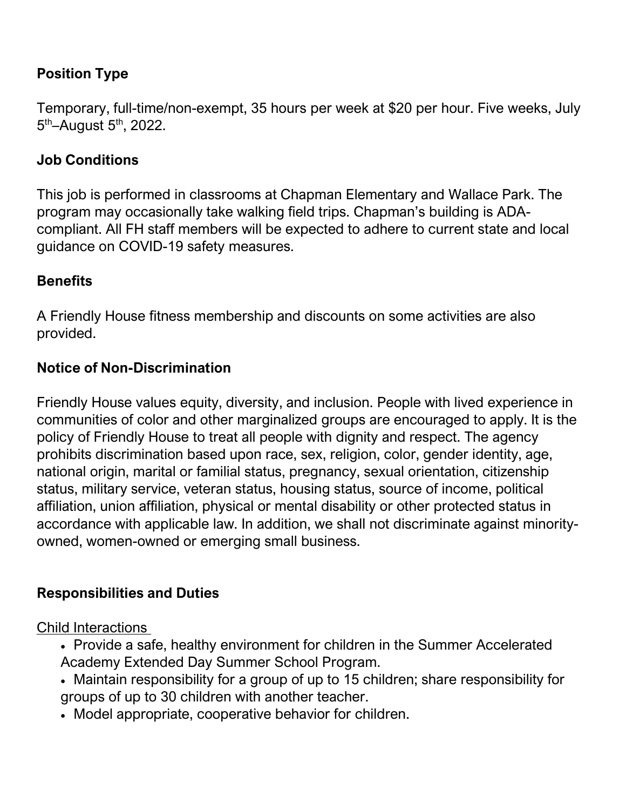## Position Type

Temporary, full-time/non-exempt, 35 hours per week at \$20 per hour. Five weeks, July 5<sup>th</sup>–August 5<sup>th</sup>, 2022.

## Job Conditions

This job is performed in classrooms at Chapman Elementary and Wallace Park. The program may occasionally take walking field trips. Chapman's building is ADAcompliant. All FH staff members will be expected to adhere to current state and local guidance on COVID-19 safety measures.

## **Benefits**

A Friendly House fitness membership and discounts on some activities are also provided.

## Notice of Non-Discrimination

Friendly House values equity, diversity, and inclusion. People with lived experience in communities of color and other marginalized groups are encouraged to apply. It is the policy of Friendly House to treat all people with dignity and respect. The agency prohibits discrimination based upon race, sex, religion, color, gender identity, age, national origin, marital or familial status, pregnancy, sexual orientation, citizenship status, military service, veteran status, housing status, source of income, political affiliation, union affiliation, physical or mental disability or other protected status in accordance with applicable law. In addition, we shall not discriminate against minorityowned, women-owned or emerging small business.

## Responsibilities and Duties

Child Interactions

- Provide a safe, healthy environment for children in the Summer Accelerated Academy Extended Day Summer School Program.
- Maintain responsibility for a group of up to 15 children; share responsibility for groups of up to 30 children with another teacher.
- Model appropriate, cooperative behavior for children.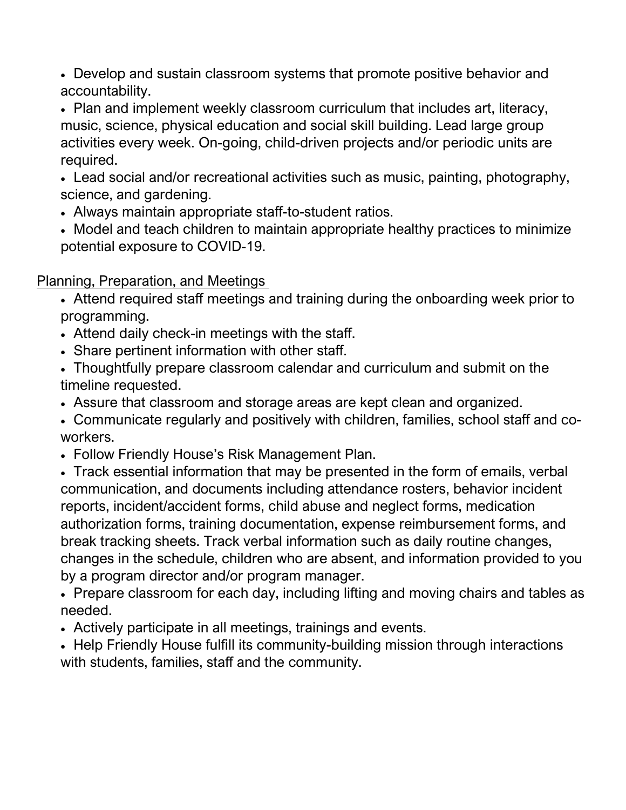Develop and sustain classroom systems that promote positive behavior and accountability.

 Plan and implement weekly classroom curriculum that includes art, literacy, music, science, physical education and social skill building. Lead large group activities every week. On-going, child-driven projects and/or periodic units are required.

 Lead social and/or recreational activities such as music, painting, photography, science, and gardening.

- Always maintain appropriate staff-to-student ratios.
- Model and teach children to maintain appropriate healthy practices to minimize potential exposure to COVID-19.

Planning, Preparation, and Meetings

- Attend required staff meetings and training during the onboarding week prior to programming.
- Attend daily check-in meetings with the staff.
- Share pertinent information with other staff.
- Thoughtfully prepare classroom calendar and curriculum and submit on the timeline requested.
- Assure that classroom and storage areas are kept clean and organized.
- Communicate regularly and positively with children, families, school staff and coworkers.
- Follow Friendly House's Risk Management Plan.
- Track essential information that may be presented in the form of emails, verbal communication, and documents including attendance rosters, behavior incident reports, incident/accident forms, child abuse and neglect forms, medication authorization forms, training documentation, expense reimbursement forms, and break tracking sheets. Track verbal information such as daily routine changes, changes in the schedule, children who are absent, and information provided to you by a program director and/or program manager.

• Prepare classroom for each day, including lifting and moving chairs and tables as needed.

Actively participate in all meetings, trainings and events.

• Help Friendly House fulfill its community-building mission through interactions with students, families, staff and the community.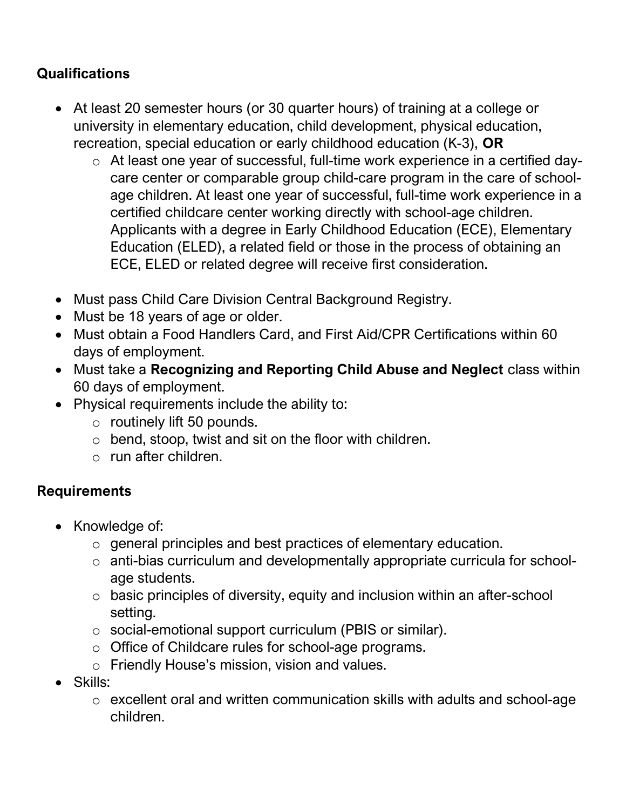# **Qualifications**

- At least 20 semester hours (or 30 quarter hours) of training at a college or university in elementary education, child development, physical education, recreation, special education or early childhood education (K-3), OR
	- o At least one year of successful, full-time work experience in a certified daycare center or comparable group child-care program in the care of schoolage children. At least one year of successful, full-time work experience in a certified childcare center working directly with school-age children. Applicants with a degree in Early Childhood Education (ECE), Elementary Education (ELED), a related field or those in the process of obtaining an ECE, ELED or related degree will receive first consideration.
- Must pass Child Care Division Central Background Registry.
- Must be 18 years of age or older.
- Must obtain a Food Handlers Card, and First Aid/CPR Certifications within 60 days of employment.
- Must take a Recognizing and Reporting Child Abuse and Neglect class within 60 days of employment.
- Physical requirements include the ability to:
	- o routinely lift 50 pounds.
	- $\circ$  bend, stoop, twist and sit on the floor with children.
	- o run after children.

## **Requirements**

- Knowledge of:
	- o general principles and best practices of elementary education.
	- o anti-bias curriculum and developmentally appropriate curricula for schoolage students.
	- o basic principles of diversity, equity and inclusion within an after-school setting.
	- o social-emotional support curriculum (PBIS or similar).
	- o Office of Childcare rules for school-age programs.
	- o Friendly House's mission, vision and values.
- Skills:
	- o excellent oral and written communication skills with adults and school-age children.